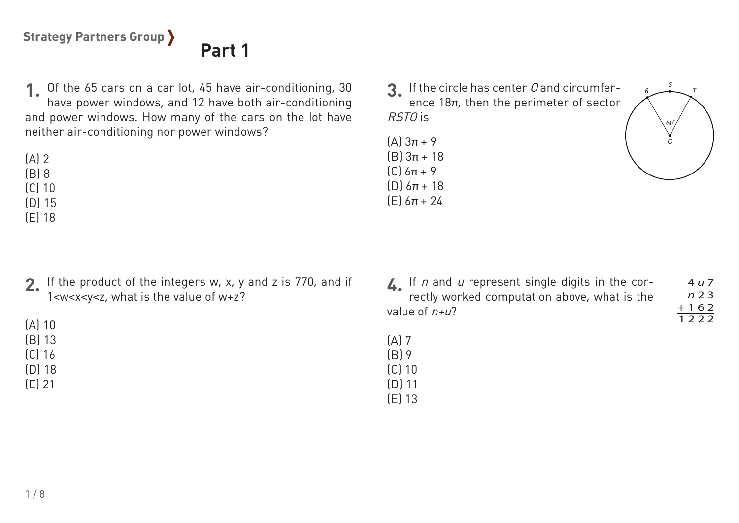# **Part 1**

Of the 65 cars on a car lot, 45 have air-conditioning, 30 **1.** have power windows, and 12 have both air-conditioning and power windows. How many of the cars on the lot have neither air-conditioning nor power windows?

 $(A)$  2

(B) 8 (C) 10

(D) 15

(E) 18

(A) 10 (B) 13 (C) 16 (D) 18 (E) 21

**4.** If the product of the integers w, x, y and z is 770, and if **2.** 1<w<x<y<z, what is the value of w+z?

If the circle has center O and circumfer-**3.** ence 18π, then the perimeter of sector

(A) 3π + 9 (B) 3π + 18 (C) 6π + 9 (D) 6π + 18 (E) 6π + 24

RSTO is

(A) 7 (B) 9 (C) 10 (D) 11 (E) 13



60˚

*S*

*T*

*R*

*O*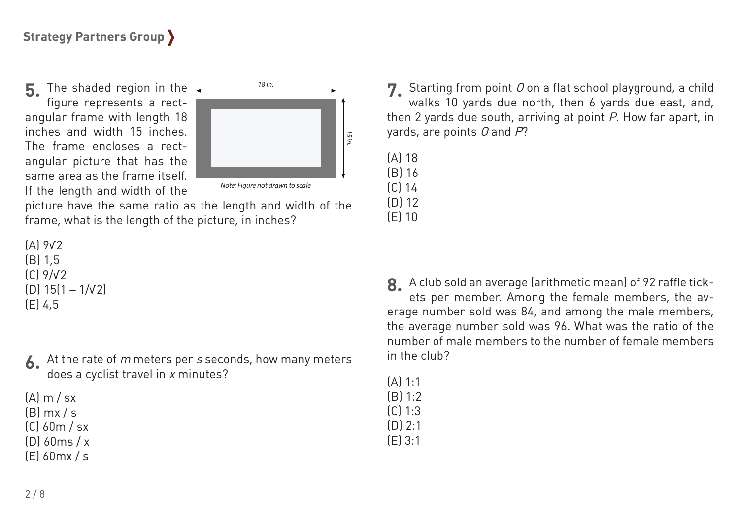**5.** The shaded region in the figure represents a rectangular frame with length 18 inches and width 15 inches. The frame encloses a rectangular picture that has the same area as the frame itself. If the length and width of the



picture have the same ratio as the length and width of the frame, what is the length of the picture, in inches?

```
(A) 9√2
(B) 1,5
(C) 9/√2
(D) 15(1 – 1/√2)
(E) 4,5
```
At the rate of m meters per s seconds, how many meters **6.**does a cyclist travel in x minutes?

 $(A)$  m  $/sx$  $(B)$  mx / s (C) 60m / sx  $[D]$  60ms / x

(E) 60mx / s

Starting from point O on a flat school playground, a child **7.** walks 10 yards due north, then 6 yards due east, and, then 2 yards due south, arriving at point P. How far apart, in yards, are points  $O$  and  $P$ ?

(A) 18

(B) 16

(C) 14 (D) 12

(E) 10

A club sold an average (arithmetic mean) of 92 raffle tick-**8.** ets per member. Among the female members, the average number sold was 84, and among the male members, the average number sold was 96. What was the ratio of the number of male members to the number of female members in the club?

(A) 1:1  $(B) 1:2$ (C) 1:3 (D) 2:1

(E) 3:1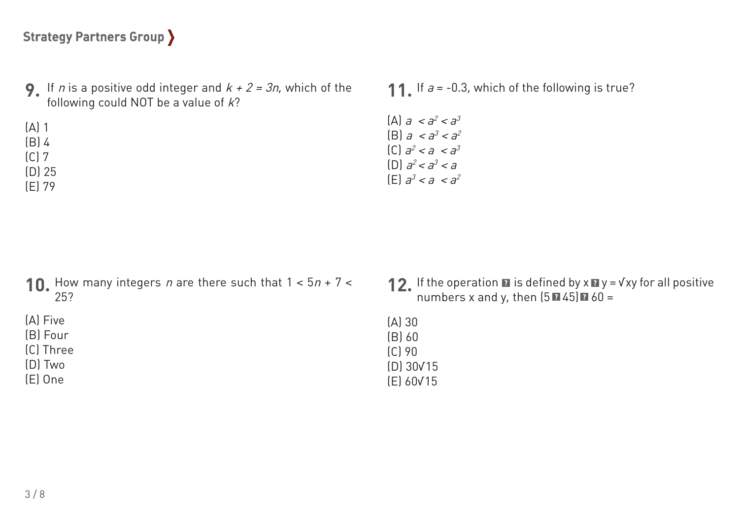- **9.** If *n* is a positive odd integer and  $k + 2 = 3n$ , which of the following could NOT be a value of  $k$ ?
- **11.** If  $a = -0.3$ , which of the following is true?
- (A)  $a < a^2 < a^3$ (B)  $a < a^3 < a^2$  $[C]$   $a^2 < a < a^3$ (D)  $a^2 < a^3 < a$  $[E]$   $a^3$  < a <  $a^2$

- How many integers n are there such that  $1 < 5n + 7 <$ 25? **10.**
- (A) Five

(A) 1 (B) 4 (C) 7 (D) 25 (E) 79

- (B) Four
- (C) Three
- (D) Two
- (E) One
- If the operation  $\blacksquare$  is defined by  $x \blacksquare y$  =  $\forall xy$  for all positive numbers x and y, then  $(5 \times 45) \times 60 =$ **12.**
- (A) 30 (B) 60 (C) 90 (D) 30√15 (E) 60√15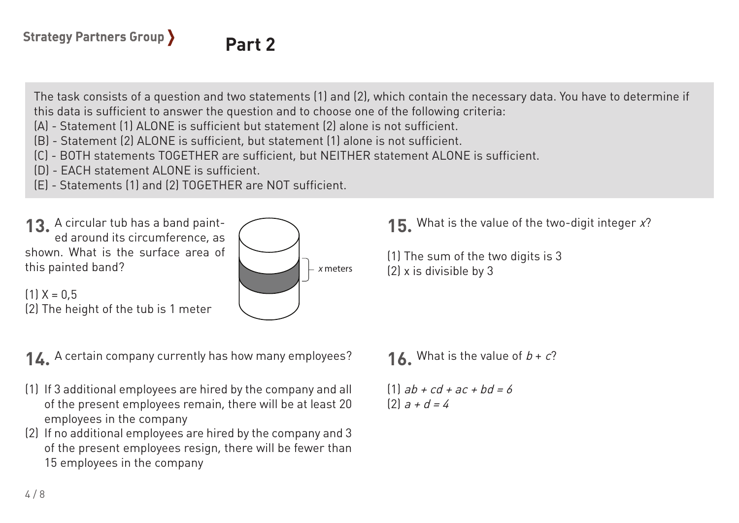## **Part 2**

The task consists of a question and two statements (1) and (2), which contain the necessary data. You have to determine if this data is sufficient to answer the question and to choose one of the following criteria:

- (A) Statement (1) ALONE is sufficient but statement (2) alone is not sufficient.
- (B) Statement (2) ALONE is sufficient, but statement (1) alone is not sufficient.
- (C) BOTH statements TOGETHER are sufficient, but NEITHER statement ALONE is sufficient.
- (D) EACH statement ALONE is sufficient.
- (E) Statements (1) and (2) TOGETHER are NOT sufficient.





A certain company currently has how many employees? **14.**

- If 3 additional employees are hired by the company and all (1) of the present employees remain, there will be at least 20 employees in the company
- If no additional employees are hired by the company and 3 (2) of the present employees resign, there will be fewer than 15 employees in the company

**16.** What is the value of  $b + c$ ?

(1) The sum of the two digits is 3

(2) x is divisible by 3

What is the value of the two-digit integer x? **15.**

 $(1)$  ab + cd + ac + bd = 6  $[2]$  a + d = 4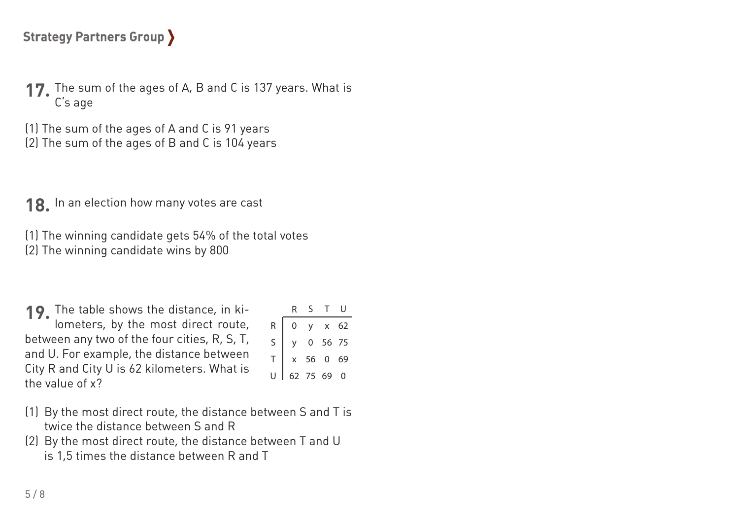**17.** The sum of the ages of A, B and C is 137 years. What is C's age

(1) The sum of the ages of A and C is 91 years

(2) The sum of the ages of B and C is 104 years

**18.** In an election how many votes are cast

(1) The winning candidate gets 54% of the total votes (2) The winning candidate wins by 800

**19.** The table shows the distance, in kilometers, by the most direct route, between any two of the four cities, R, S, T, and U. For example, the distance between City R and City U is 62 kilometers. What is the value of x?

|             | ${\sf R}$    | ς           |              |    |  |
|-------------|--------------|-------------|--------------|----|--|
| $\mathsf R$ | $\mathbf{0}$ | $\mathsf V$ | $\mathsf{x}$ | 62 |  |
| $\mathsf S$ | v.           |             | 0 56 75      |    |  |
|             |              | x 56 0      |              | 69 |  |
|             |              | 62 75 69    |              | 0  |  |

- $(1)$  By the most direct route, the distance between S and T is twice the distance between S and R
- $(2)$  By the most direct route, the distance between T and U is 1,5 times the distance between R and T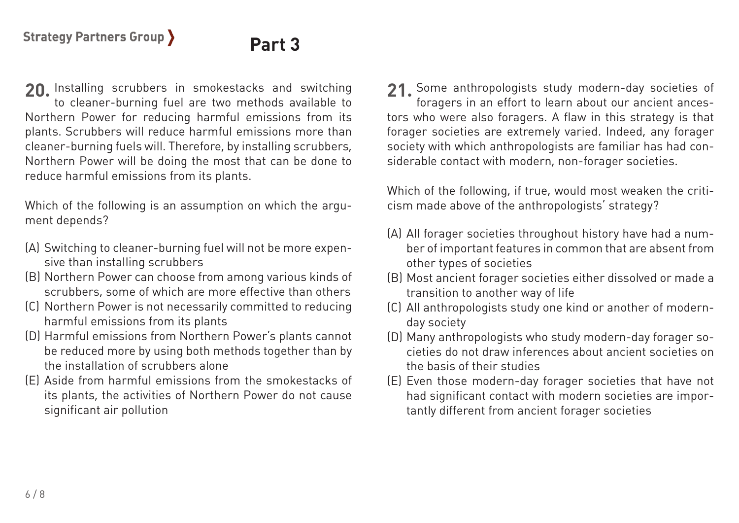### **Part 3**

Installing scrubbers in smokestacks and switching **20. 21.** to cleaner-burning fuel are two methods available to Northern Power for reducing harmful emissions from its plants. Scrubbers will reduce harmful emissions more than cleaner-burning fuels will. Therefore, by installing scrubbers, Northern Power will be doing the most that can be done to reduce harmful emissions from its plants.

Which of the following is an assumption on which the argument depends?

- Switching to cleaner-burning fuel will not be more expen-(A) sive than installing scrubbers
- Northern Power can choose from among various kinds of (B) scrubbers, some of which are more effective than others
- (C) Northern Power is not necessarily committed to reducing harmful emissions from its plants
- (D) Harmful emissions from Northern Power's plants cannot be reduced more by using both methods together than by the installation of scrubbers alone
- Aside from harmful emissions from the smokestacks of (E) its plants, the activities of Northern Power do not cause significant air pollution

21 Some anthropologists study modern-day societies of foragers in an effort to learn about our ancient ancestors who were also foragers. A flaw in this strategy is that forager societies are extremely varied. Indeed, any forager society with which anthropologists are familiar has had considerable contact with modern, non-forager societies.

Which of the following, if true, would most weaken the criticism made above of the anthropologists' strategy?

- All forager societies throughout history have had a num-(A) ber of important features in common that are absent from other types of societies
- Most ancient forager societies either dissolved or made a (B) transition to another way of life
- All anthropologists study one kind or another of modern-(C) day society
- Many anthropologists who study modern-day forager so-(D) cieties do not draw inferences about ancient societies on the basis of their studies
- Even those modern-day forager societies that have not (E)had significant contact with modern societies are importantly different from ancient forager societies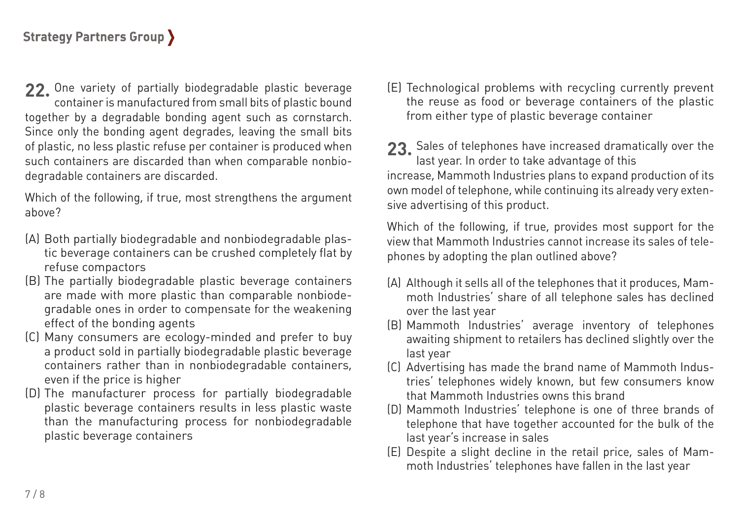22. One variety of partially biodegradable plastic beverage container is manufactured from small bits of plastic bound together by a degradable bonding agent such as cornstarch. Since only the bonding agent degrades, leaving the small bits of plastic, no less plastic refuse per container is produced when such containers are discarded than when comparable nonbiodegradable containers are discarded.

Which of the following, if true, most strengthens the argument above?

- (A) Both partially biodegradable and nonbiodegradable plastic beverage containers can be crushed completely flat by refuse compactors
- The partially biodegradable plastic beverage containers (B) are made with more plastic than comparable nonbiodegradable ones in order to compensate for the weakening effect of the bonding agents
- Many consumers are ecology-minded and prefer to buy (C) a product sold in partially biodegradable plastic beverage containers rather than in nonbiodegradable containers, even if the price is higher
- (D) The manufacturer process for partially biodegradable plastic beverage containers results in less plastic waste than the manufacturing process for nonbiodegradable plastic beverage containers

Technological problems with recycling currently prevent (E) the reuse as food or beverage containers of the plastic from either type of plastic beverage container

23. Sales of telephones have increased dramatically over the last year. In order to take advantage of this increase, Mammoth Industries plans to expand production of its own model of telephone, while continuing its already very extensive advertising of this product.

Which of the following, if true, provides most support for the view that Mammoth Industries cannot increase its sales of telephones by adopting the plan outlined above?

- (A) Although it sells all of the telephones that it produces, Mammoth Industries' share of all telephone sales has declined over the last year
- Mammoth Industries' average inventory of telephones (B) awaiting shipment to retailers has declined slightly over the last year
- (C) Advertising has made the brand name of Mammoth Industries' telephones widely known, but few consumers know that Mammoth Industries owns this brand
- Mammoth Industries' telephone is one of three brands of (D) telephone that have together accounted for the bulk of the last year's increase in sales
- Despite a slight decline in the retail price, sales of Mam-(E)moth Industries' telephones have fallen in the last year